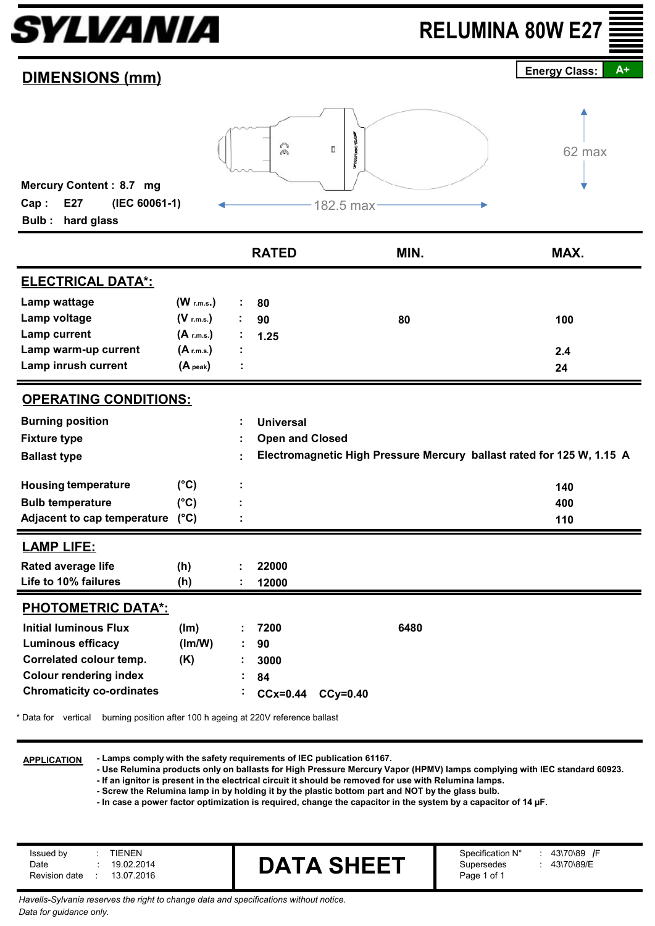# *SYLVANIA*

**RELUMINA 80W E27**

| <b>DIMENSIONS (mm)</b>                                                                                                      |                |    |                        |                                                                       | <b>Energy Class:</b><br>$A+$ |  |  |  |  |  |  |  |
|-----------------------------------------------------------------------------------------------------------------------------|----------------|----|------------------------|-----------------------------------------------------------------------|------------------------------|--|--|--|--|--|--|--|
|                                                                                                                             |                |    |                        |                                                                       |                              |  |  |  |  |  |  |  |
| $\Omega$<br>$\Box$<br>62 max<br>Mercury Content: 8.7 mg<br>E27<br>(IEC 60061-1)<br>Cap:<br>182.5 max<br>hard glass<br>Bulb: |                |    |                        |                                                                       |                              |  |  |  |  |  |  |  |
|                                                                                                                             |                |    | <b>RATED</b>           | MIN.                                                                  | MAX.                         |  |  |  |  |  |  |  |
| <b>ELECTRICAL DATA*:</b>                                                                                                    |                |    |                        |                                                                       |                              |  |  |  |  |  |  |  |
| Lamp wattage                                                                                                                | $(W$ r.m.s.)   |    | 80                     |                                                                       |                              |  |  |  |  |  |  |  |
| Lamp voltage                                                                                                                | $(V$ r.m.s.)   |    | 90                     | 80                                                                    | 100                          |  |  |  |  |  |  |  |
| Lamp current                                                                                                                | $(A$ r.m.s.)   |    | 1.25                   |                                                                       |                              |  |  |  |  |  |  |  |
| Lamp warm-up current                                                                                                        | $(A_{r.m.s.})$ |    |                        |                                                                       | 2.4                          |  |  |  |  |  |  |  |
| Lamp inrush current                                                                                                         | $(A)$ peak)    |    |                        |                                                                       | 24                           |  |  |  |  |  |  |  |
| <b>OPERATING CONDITIONS:</b>                                                                                                |                |    |                        |                                                                       |                              |  |  |  |  |  |  |  |
|                                                                                                                             |                |    |                        |                                                                       |                              |  |  |  |  |  |  |  |
| <b>Burning position</b>                                                                                                     |                |    | <b>Universal</b>       |                                                                       |                              |  |  |  |  |  |  |  |
| <b>Fixture type</b>                                                                                                         |                |    | <b>Open and Closed</b> |                                                                       |                              |  |  |  |  |  |  |  |
| <b>Ballast type</b>                                                                                                         |                |    |                        | Electromagnetic High Pressure Mercury ballast rated for 125 W, 1.15 A |                              |  |  |  |  |  |  |  |
| <b>Housing temperature</b>                                                                                                  | $(^{\circ}C)$  |    |                        |                                                                       | 140                          |  |  |  |  |  |  |  |
| <b>Bulb temperature</b>                                                                                                     | $(^{\circ}C)$  |    |                        |                                                                       | 400                          |  |  |  |  |  |  |  |
| <b>Adjacent to cap temperature</b>                                                                                          | $(^{\circ}C)$  |    |                        |                                                                       | 110                          |  |  |  |  |  |  |  |
| <b>LAMP LIFE:</b>                                                                                                           |                |    |                        |                                                                       |                              |  |  |  |  |  |  |  |
| <b>Rated average life</b>                                                                                                   | (h)            |    | 22000                  |                                                                       |                              |  |  |  |  |  |  |  |
| Life to 10% failures                                                                                                        | (h)            |    | 12000                  |                                                                       |                              |  |  |  |  |  |  |  |
| <b>PHOTOMETRIC DATA*:</b>                                                                                                   |                |    |                        |                                                                       |                              |  |  |  |  |  |  |  |
| <b>Initial luminous Flux</b>                                                                                                | (lm)           |    | 7200                   | 6480                                                                  |                              |  |  |  |  |  |  |  |
| <b>Luminous efficacy</b>                                                                                                    | (lm/W)         | ÷. | 90                     |                                                                       |                              |  |  |  |  |  |  |  |
| Correlated colour temp.                                                                                                     | (K)            |    | 3000                   |                                                                       |                              |  |  |  |  |  |  |  |
| <b>Colour rendering index</b>                                                                                               |                |    | 84                     |                                                                       |                              |  |  |  |  |  |  |  |
| <b>Chromaticity co-ordinates</b>                                                                                            |                |    | $CCx=0.44$             | $CCy=0.40$                                                            |                              |  |  |  |  |  |  |  |
| burning position after 100 h ageing at 220V reference ballast<br>* Data for vertical                                        |                |    |                        |                                                                       |                              |  |  |  |  |  |  |  |
|                                                                                                                             |                |    |                        |                                                                       |                              |  |  |  |  |  |  |  |

**APPLICATION**

**- Lamps comply with the safety requirements of IEC publication 61167.**

**- Use Relumina products only on ballasts for High Pressure Mercury Vapor (HPMV) lamps complying with IEC standard 60923. - If an ignitor is present in the electrical circuit it should be removed for use with Relumina lamps.**

**- Screw the Relumina lamp in by holding it by the plastic bottom part and NOT by the glass bulb.**

**- In case a power factor optimization is required, change the capacitor in the system by a capacitor of 14 µF.**

| 43\70\89<br>TIENEN<br>Specification N°<br>Issued by<br>DΔ<br>19.02.2014<br>43\70\89/E<br>Date<br>Supersedes<br>$\mathcal{L}$<br>13.07.2016<br>Page 1 of 1<br>Revision date |
|----------------------------------------------------------------------------------------------------------------------------------------------------------------------------|
|----------------------------------------------------------------------------------------------------------------------------------------------------------------------------|